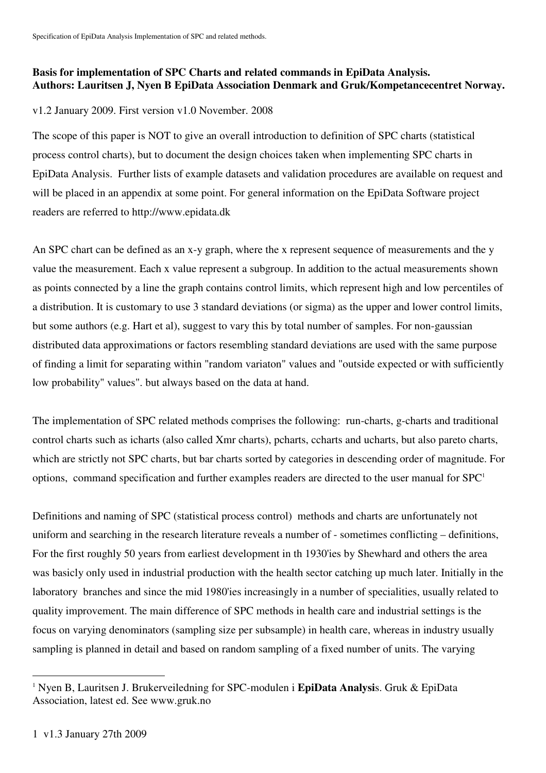## **Basis for implementation of SPC Charts and related commands in EpiData Analysis. Authors: Lauritsen J, Nyen B EpiData Association Denmark and Gruk/Kompetancecentret Norway.**

#### v1.2 January 2009. First version v1.0 November. 2008

The scope of this paper is NOT to give an overall introduction to definition of SPC charts (statistical process control charts), but to document the design choices taken when implementing SPC charts in EpiData Analysis. Further lists of example datasets and validation procedures are available on request and will be placed in an appendix at some point. For general information on the EpiData Software project readers are referred to http://www.epidata.dk

An SPC chart can be defined as an x-y graph, where the x represent sequence of measurements and the y value the measurement. Each x value represent a subgroup. In addition to the actual measurements shown as points connected by a line the graph contains control limits, which represent high and low percentiles of a distribution. It is customary to use 3 standard deviations (or sigma) as the upper and lower control limits, but some authors (e.g. Hart et al), suggest to vary this by total number of samples. For non-gaussian distributed data approximations or factors resembling standard deviations are used with the same purpose of finding a limit for separating within "random variaton" values and "outside expected or with sufficiently low probability" values". but always based on the data at hand.

The implementation of SPC related methods comprises the following: run-charts, g-charts and traditional control charts such as icharts (also called Xmr charts), pcharts, ccharts and ucharts, but also pareto charts, which are strictly not SPC charts, but bar charts sorted by categories in descending order of magnitude. For options, command specification and further examples readers are directed to the user manual for SPC<sup>1</sup>

Definitions and naming of SPC (statistical process control) methods and charts are unfortunately not uniform and searching in the research literature reveals a number of - sometimes conflicting – definitions, For the first roughly 50 years from earliest development in th 1930'ies by Shewhard and others the area was basicly only used in industrial production with the health sector catching up much later. Initially in the laboratory branches and since the mid 1980'ies increasingly in a number of specialities, usually related to quality improvement. The main difference of SPC methods in health care and industrial settings is the focus on varying denominators (sampling size per subsample) in health care, whereas in industry usually sampling is planned in detail and based on random sampling of a fixed number of units. The varying

 $\overline{a}$ 

<sup>&</sup>lt;sup>1</sup> Nyen B, Lauritsen J. Brukerveiledning for SPC-modulen i EpiData Analysis. Gruk & EpiData Association, latest ed. See www.gruk.no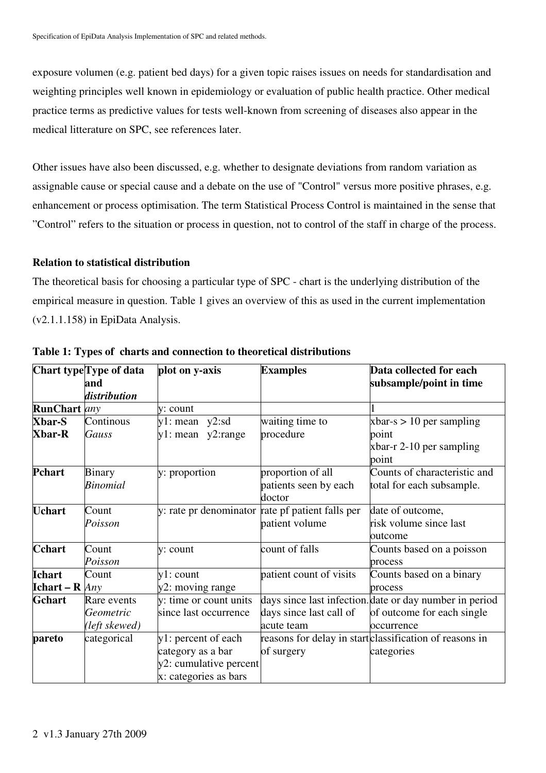exposure volumen (e.g. patient bed days) for a given topic raises issues on needs for standardisation and weighting principles well known in epidemiology or evaluation of public health practice. Other medical practice terms as predictive values for tests well-known from screening of diseases also appear in the medical litterature on SPC, see references later.

Other issues have also been discussed, e.g. whether to designate deviations from random variation as assignable cause or special cause and a debate on the use of "Control" versus more positive phrases, e.g. enhancement or process optimisation. The term Statistical Process Control is maintained in the sense that "Control" refers to the situation or process in question, not to control of the staff in charge of the process.

#### **Relation to statistical distribution**

The theoretical basis for choosing a particular type of SPC - chart is the underlying distribution of the empirical measure in question. Table 1 gives an overview of this as used in the current implementation (v2.1.1.158) in EpiData Analysis.

|                                         | Chart type Type of data<br>and<br>distribution | plot on y-axis         | <b>Examples</b>                                  | Data collected for each<br>subsample/point in time      |
|-----------------------------------------|------------------------------------------------|------------------------|--------------------------------------------------|---------------------------------------------------------|
| <b>RunChart</b> any                     |                                                | y: count               |                                                  |                                                         |
| <b>Xbar-S</b>                           | Continous                                      | $y1:$ mean $y2:$ sd    | waiting time to                                  | $xbar-s > 10$ per sampling                              |
| <b>Xbar-R</b>                           | Gauss                                          | y2:range<br>y1: mean   | procedure                                        | point                                                   |
|                                         |                                                |                        |                                                  | $xbar-r$ 2-10 per sampling                              |
|                                         |                                                |                        |                                                  | point                                                   |
| <b>Pchart</b>                           | <b>Binary</b>                                  | y: proportion          | proportion of all                                | Counts of characteristic and                            |
|                                         | <b>Binomial</b>                                |                        | patients seen by each                            | total for each subsample.                               |
|                                         |                                                |                        | doctor                                           |                                                         |
| <b>Uchart</b>                           | Count                                          |                        | y: rate pr denominator rate pf patient falls per | date of outcome,                                        |
|                                         | Poisson                                        |                        | patient volume                                   | risk volume since last                                  |
|                                         |                                                |                        |                                                  | outcome                                                 |
| <b>Cchart</b>                           | Count                                          | y: count               | count of falls                                   | Counts based on a poisson                               |
|                                         | Poisson                                        |                        |                                                  | process                                                 |
| <b>Ichart</b>                           | Count                                          | $y1:$ count            | patient count of visits                          | Counts based on a binary                                |
| <b>Ichart</b> – $\mathbf{R}$ <i>Any</i> |                                                | y2: moving range       |                                                  | process                                                 |
| <b>Gchart</b>                           | Rare events                                    | y: time or count units |                                                  | days since last infection. date or day number in period |
|                                         | Geometric                                      | since last occurrence  | days since last call of                          | of outcome for each single                              |
|                                         | (left skewed)                                  |                        | acute team                                       | occurrence                                              |
| pareto                                  | categorical                                    | y1: percent of each    |                                                  | reasons for delay in start classification of reasons in |
|                                         |                                                | category as a bar      | of surgery                                       | categories                                              |
|                                         |                                                | y2: cumulative percent |                                                  |                                                         |
|                                         |                                                | x: categories as bars  |                                                  |                                                         |

**Table 1: Types of charts and connection to theoretical distributions**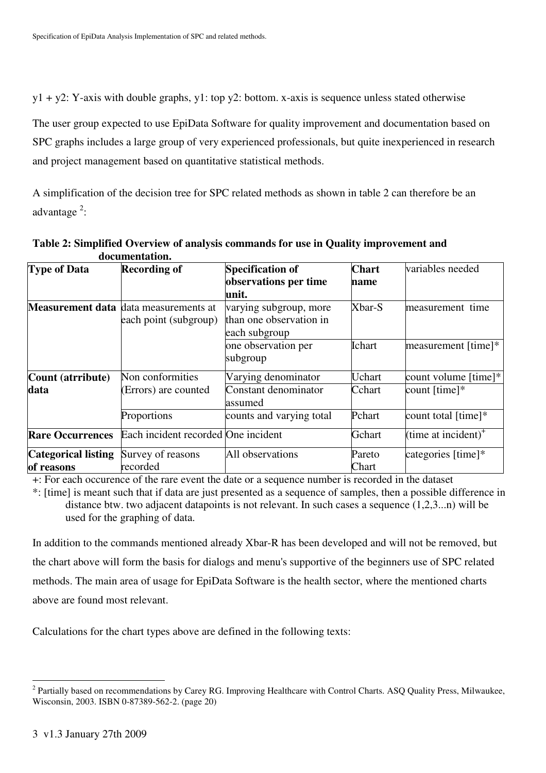$y1 + y2$ : Y-axis with double graphs, y1: top y2: bottom. x-axis is sequence unless stated otherwise

The user group expected to use EpiData Software for quality improvement and documentation based on SPC graphs includes a large group of very experienced professionals, but quite inexperienced in research and project management based on quantitative statistical methods.

A simplification of the decision tree for SPC related methods as shown in table 2 can therefore be an advantage $^2$ :

| <b>Type of Data</b>                      | <b>Recording of</b>                           | <b>Specification of</b><br>observations per time<br>unit.          | <b>Chart</b><br>name | variables needed       |
|------------------------------------------|-----------------------------------------------|--------------------------------------------------------------------|----------------------|------------------------|
| <b>Measurement data</b>                  | data measurements at<br>each point (subgroup) | varying subgroup, more<br>than one observation in<br>each subgroup | Xbar-S               | measurement time       |
|                                          |                                               | one observation per<br>subgroup                                    | Ichart               | measurement [time]*    |
| Count (atrribute)                        | Non conformities                              | Varying denominator                                                | Uchart               | count volume [time]*   |
| data                                     | (Errors) are counted                          | Constant denominator<br>assumed                                    | Cchart               | count [time]*          |
|                                          | Proportions                                   | counts and varying total                                           | Pchart               | count total [time]*    |
| <b>Rare Occurrences</b>                  | Each incident recorded One incident           |                                                                    | Gchart               | (time at incident) $+$ |
| <b>Categorical listing</b><br>of reasons | Survey of reasons<br>recorded                 | All observations                                                   | Pareto<br>Chart      | categories [time]*     |

|                | Table 2: Simplified Overview of analysis commands for use in Quality improvement and |
|----------------|--------------------------------------------------------------------------------------|
| documentation. |                                                                                      |

+: For each occurence of the rare event the date or a sequence number is recorded in the dataset

\*: [time] is meant such that if data are just presented as a sequence of samples, then a possible difference in distance btw. two adjacent datapoints is not relevant. In such cases a sequence (1,2,3...n) will be used for the graphing of data.

In addition to the commands mentioned already Xbar-R has been developed and will not be removed, but the chart above will form the basis for dialogs and menu's supportive of the beginners use of SPC related methods. The main area of usage for EpiData Software is the health sector, where the mentioned charts above are found most relevant.

Calculations for the chart types above are defined in the following texts:

 $\overline{a}$  $2$  Partially based on recommendations by Carey RG. Improving Healthcare with Control Charts. ASQ Quality Press, Milwaukee, Wisconsin, 2003. ISBN 0-87389-562-2. (page 20)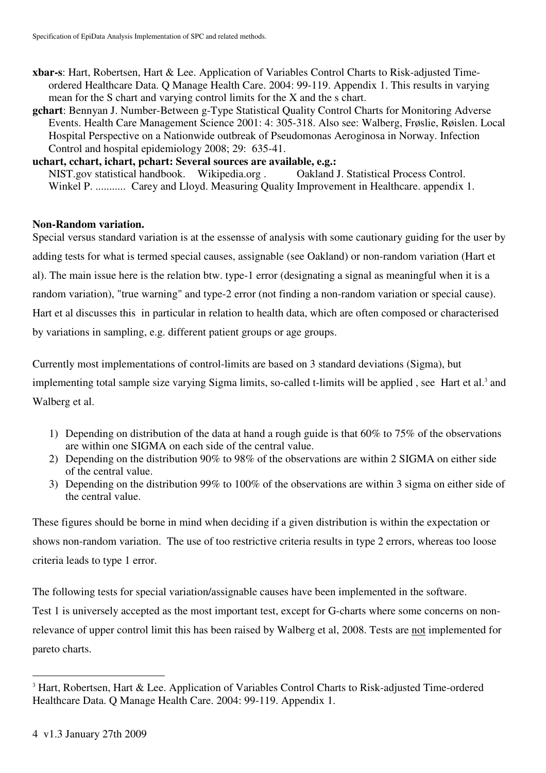- **xbar-s**: Hart, Robertsen, Hart & Lee. Application of Variables Control Charts to Risk-adjusted Timeordered Healthcare Data. Q Manage Health Care. 2004: 99-119. Appendix 1. This results in varying mean for the S chart and varying control limits for the X and the s chart.
- **gchart**: Bennyan J. Number-Between g-Type Statistical Quality Control Charts for Monitoring Adverse Events. Health Care Management Science 2001: 4: 305-318. Also see: Walberg, Frøslie, Røislen. Local Hospital Perspective on a Nationwide outbreak of Pseudomonas Aeroginosa in Norway. Infection Control and hospital epidemiology 2008; 29: 635-41.

#### **uchart, cchart, ichart, pchart: Several sources are available, e.g.:**

NIST.gov statistical handbook. Wikipedia.org . Oakland J. Statistical Process Control. Winkel P. ........... Carey and Lloyd. Measuring Quality Improvement in Healthcare. appendix 1.

## **Non-Random variation.**

Special versus standard variation is at the essensse of analysis with some cautionary guiding for the user by adding tests for what is termed special causes, assignable (see Oakland) or non-random variation (Hart et al). The main issue here is the relation btw. type-1 error (designating a signal as meaningful when it is a random variation), "true warning" and type-2 error (not finding a non-random variation or special cause). Hart et al discusses this in particular in relation to health data, which are often composed or characterised by variations in sampling, e.g. different patient groups or age groups.

Currently most implementations of control-limits are based on 3 standard deviations (Sigma), but implementing total sample size varying Sigma limits, so-called t-limits will be applied, see Hart et al.<sup>3</sup> and Walberg et al.

- 1) Depending on distribution of the data at hand a rough guide is that 60% to 75% of the observations are within one SIGMA on each side of the central value.
- 2) Depending on the distribution 90% to 98% of the observations are within 2 SIGMA on either side of the central value.
- 3) Depending on the distribution 99% to 100% of the observations are within 3 sigma on either side of the central value.

These figures should be borne in mind when deciding if a given distribution is within the expectation or shows non-random variation. The use of too restrictive criteria results in type 2 errors, whereas too loose criteria leads to type 1 error.

The following tests for special variation/assignable causes have been implemented in the software. Test 1 is universely accepted as the most important test, except for G-charts where some concerns on nonrelevance of upper control limit this has been raised by Walberg et al, 2008. Tests are not implemented for pareto charts.

 $\overline{a}$ 

<sup>&</sup>lt;sup>3</sup> Hart, Robertsen, Hart & Lee. Application of Variables Control Charts to Risk-adjusted Time-ordered Healthcare Data. Q Manage Health Care. 2004: 99-119. Appendix 1.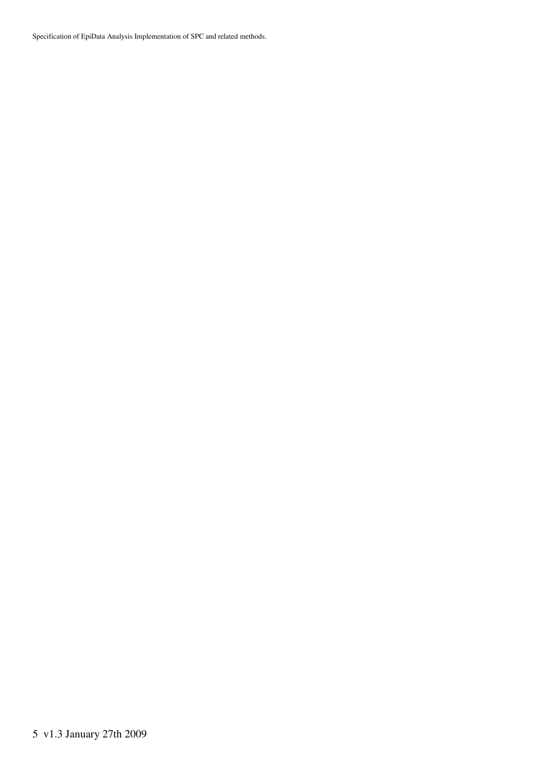Specification of EpiData Analysis Implementation of SPC and related methods.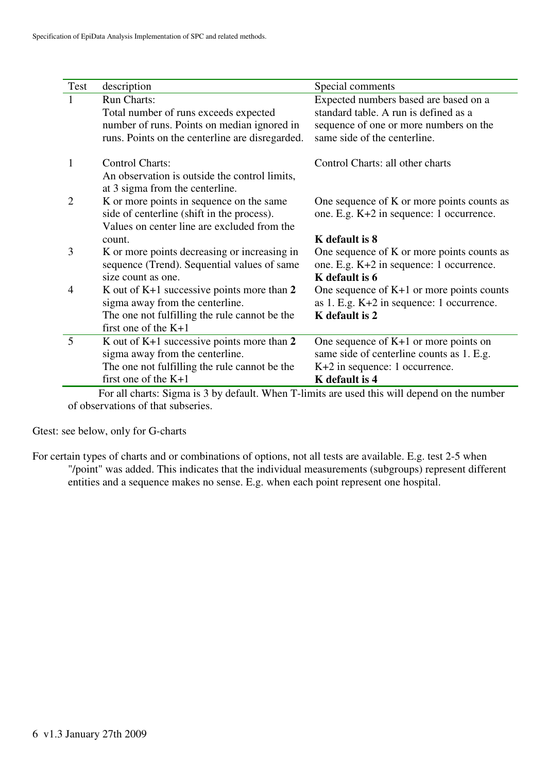| Test | description                                                                                 | Special comments                            |
|------|---------------------------------------------------------------------------------------------|---------------------------------------------|
| 1    | <b>Run Charts:</b>                                                                          | Expected numbers based are based on a       |
|      | Total number of runs exceeds expected                                                       | standard table. A run is defined as a       |
|      | number of runs. Points on median ignored in                                                 | sequence of one or more numbers on the      |
|      | runs. Points on the centerline are disregarded.                                             | same side of the centerline.                |
|      |                                                                                             |                                             |
| 1    | <b>Control Charts:</b>                                                                      | Control Charts: all other charts            |
|      | An observation is outside the control limits,                                               |                                             |
|      | at 3 sigma from the centerline.                                                             |                                             |
| 2    | K or more points in sequence on the same                                                    | One sequence of K or more points counts as  |
|      | side of centerline (shift in the process).                                                  | one. E.g. K+2 in sequence: 1 occurrence.    |
|      | Values on center line are excluded from the                                                 |                                             |
|      | count.                                                                                      | K default is 8                              |
| 3    | K or more points decreasing or increasing in                                                | One sequence of K or more points counts as  |
|      | sequence (Trend). Sequential values of same                                                 | one. E.g. K+2 in sequence: 1 occurrence.    |
|      | size count as one.                                                                          | K default is 6                              |
| 4    | K out of $K+1$ successive points more than 2                                                | One sequence of $K+1$ or more points counts |
|      | sigma away from the centerline.                                                             | as $1. E.g. K+2$ in sequence: 1 occurrence. |
|      | The one not fulfilling the rule cannot be the                                               | K default is 2                              |
|      | first one of the $K+1$                                                                      |                                             |
| 5    | K out of $K+1$ successive points more than 2                                                | One sequence of $K+1$ or more points on     |
|      | sigma away from the centerline.                                                             | same side of centerline counts as 1. E.g.   |
|      | The one not fulfilling the rule cannot be the                                               | K+2 in sequence: 1 occurrence.              |
|      | first one of the $K+1$                                                                      | K default is 4                              |
|      | For all charts: Sigma is 3 by default When T-limits are used this will denend on the number |                                             |

 For all charts: Sigma is 3 by default. When T-limits are used this will depend on the number of observations of that subseries.

Gtest: see below, only for G-charts

For certain types of charts and or combinations of options, not all tests are available. E.g. test 2-5 when "/point" was added. This indicates that the individual measurements (subgroups) represent different entities and a sequence makes no sense. E.g. when each point represent one hospital.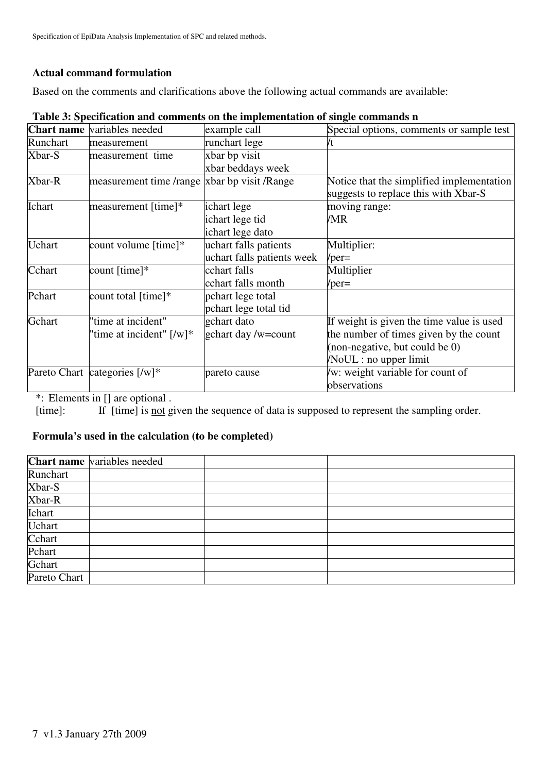### **Actual command formulation**

Based on the comments and clarifications above the following actual commands are available:

|                | <b>Chart name</b> variables needed           | example call               | Special options, comments or sample test  |
|----------------|----------------------------------------------|----------------------------|-------------------------------------------|
| Runchart       | measurement                                  | runchart lege              | /t                                        |
| Xbar-S         | measurement time                             | xbar bp visit              |                                           |
|                |                                              | xbar beddays week          |                                           |
| Xbar-R         | measurement time /range xbar bp visit /Range |                            | Notice that the simplified implementation |
|                |                                              |                            | suggests to replace this with Xbar-S      |
| Ichart         | measurement [time]*                          | <i>ichart</i> lege         | moving range:                             |
|                |                                              | ichart lege tid            | /MR                                       |
|                |                                              | ichart lege dato           |                                           |
| <b>U</b> chart | count volume [time]*                         | uchart falls patients      | Multiplier:                               |
|                |                                              | uchart falls patients week | $\gamma$ per=                             |
| Cchart         | count [time]*                                | cchart falls               | Multiplier                                |
|                |                                              | cchart falls month         | / $per =$                                 |
| Pchart         | count total [time]*                          | pchart lege total          |                                           |
|                |                                              | pchart lege total tid      |                                           |
| Gchart         | "time at incident"                           | gchart dato                | If weight is given the time value is used |
|                | "time at incident" $\lceil w \rceil^*$       | gchart day /w=count        | the number of times given by the count    |
|                |                                              |                            | (non-negative, but could be 0)            |
|                |                                              |                            | /NoUL : no upper limit                    |
|                | Pareto Chart categories [/w]*                | pareto cause               | /w: weight variable for count of          |
|                |                                              |                            | observations                              |

#### **Table 3: Specification and comments on the implementation of single commands n**

\*: Elements in [] are optional .

[time]: If [time] is <u>not</u> given the sequence of data is supposed to represent the sampling order.

#### **Formula's used in the calculation (to be completed)**

|              | <b>Chart name</b> variables needed |  |
|--------------|------------------------------------|--|
| Runchart     |                                    |  |
| Xbar-S       |                                    |  |
| Xbar-R       |                                    |  |
| Ichart       |                                    |  |
| Uchart       |                                    |  |
| Cchart       |                                    |  |
| Pchart       |                                    |  |
| Gchart       |                                    |  |
| Pareto Chart |                                    |  |